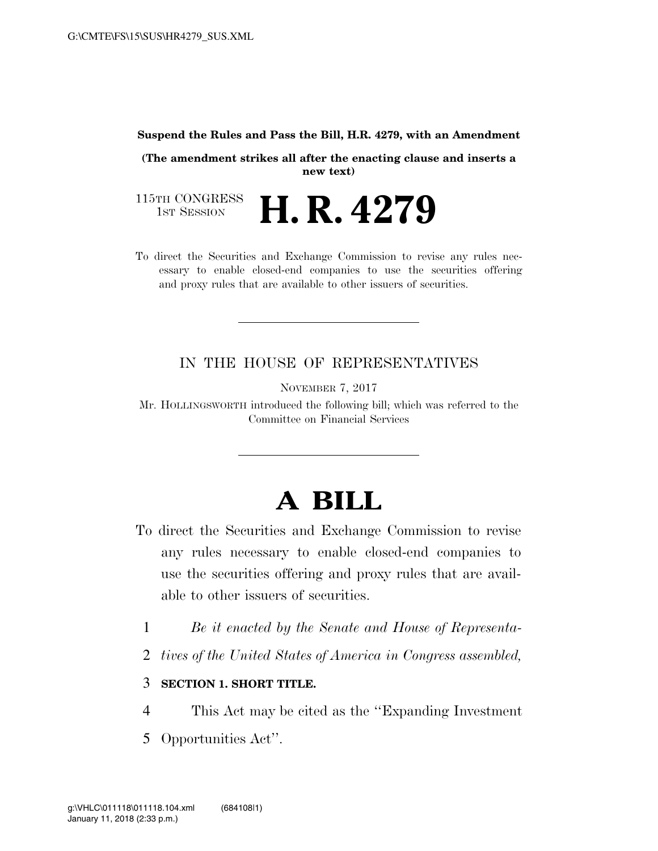#### **Suspend the Rules and Pass the Bill, H.R. 4279, with an Amendment**

**(The amendment strikes all after the enacting clause and inserts a new text)** 

115TH CONGRESS<br>1st Session H. R. 4279

To direct the Securities and Exchange Commission to revise any rules necessary to enable closed-end companies to use the securities offering and proxy rules that are available to other issuers of securities.

### IN THE HOUSE OF REPRESENTATIVES

NOVEMBER 7, 2017

Mr. HOLLINGSWORTH introduced the following bill; which was referred to the Committee on Financial Services

# **A BILL**

- To direct the Securities and Exchange Commission to revise any rules necessary to enable closed-end companies to use the securities offering and proxy rules that are available to other issuers of securities.
	- 1 *Be it enacted by the Senate and House of Representa-*
	- 2 *tives of the United States of America in Congress assembled,*

### 3 **SECTION 1. SHORT TITLE.**

- 4 This Act may be cited as the ''Expanding Investment
- 5 Opportunities Act''.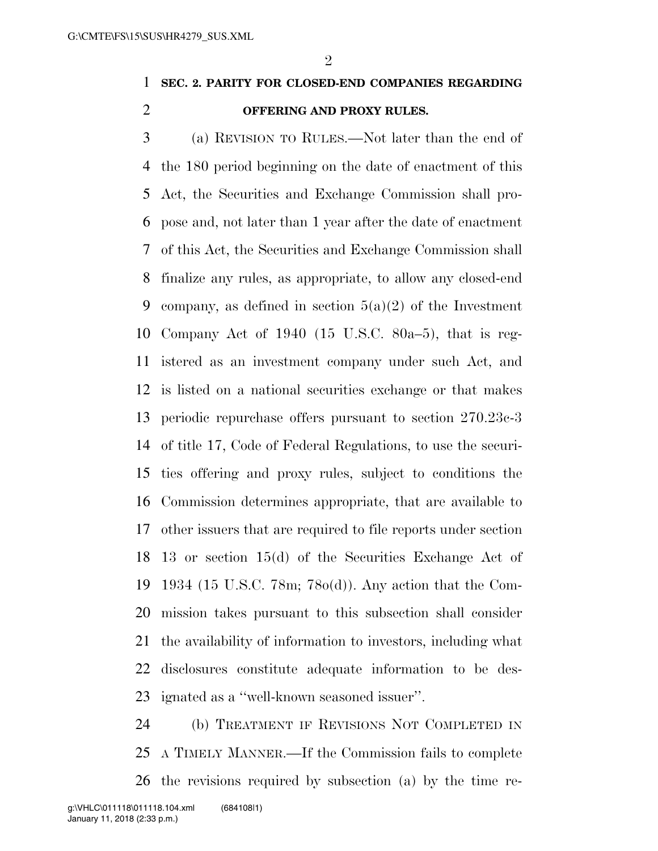## **SEC. 2. PARITY FOR CLOSED-END COMPANIES REGARDING OFFERING AND PROXY RULES.**

 (a) REVISION TO RULES.—Not later than the end of the 180 period beginning on the date of enactment of this Act, the Securities and Exchange Commission shall pro- pose and, not later than 1 year after the date of enactment of this Act, the Securities and Exchange Commission shall finalize any rules, as appropriate, to allow any closed-end 9 company, as defined in section  $5(a)(2)$  of the Investment Company Act of 1940 (15 U.S.C. 80a–5), that is reg- istered as an investment company under such Act, and is listed on a national securities exchange or that makes periodic repurchase offers pursuant to section 270.23c-3 of title 17, Code of Federal Regulations, to use the securi- ties offering and proxy rules, subject to conditions the Commission determines appropriate, that are available to other issuers that are required to file reports under section 13 or section 15(d) of the Securities Exchange Act of 1934 (15 U.S.C. 78m; 78o(d)). Any action that the Com- mission takes pursuant to this subsection shall consider the availability of information to investors, including what disclosures constitute adequate information to be des-ignated as a ''well-known seasoned issuer''.

 (b) TREATMENT IF REVISIONS NOT COMPLETED IN A TIMELY MANNER.—If the Commission fails to complete the revisions required by subsection (a) by the time re